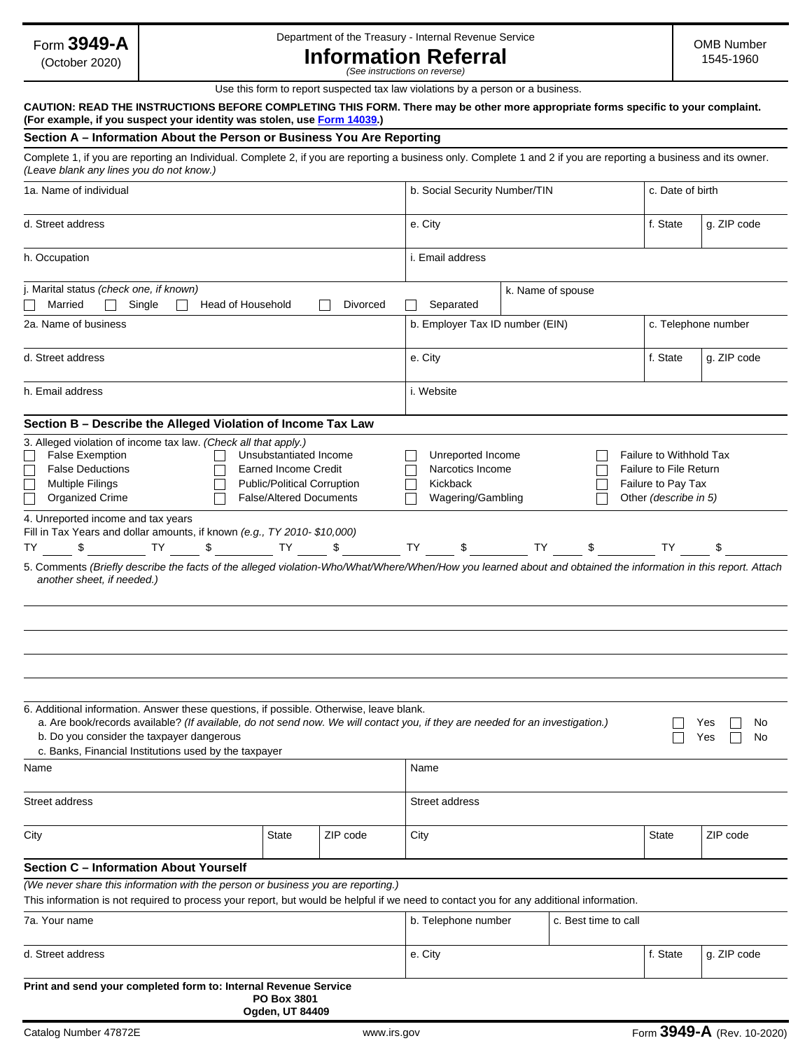Form **3949-A**

(October 2020)

### Department of the Treasury - Internal Revenue Service

OMB Number 1545-1960

**Information Referral**  *(See instructions on reverse)*

Use this form to report suspected tax law violations by a person or a business.

#### **CAUTION: READ THE INSTRUCTIONS BEFORE COMPLETING THIS FORM. There may be other more appropriate forms specific to your complaint. (For example, if you suspect your identity was stolen, use [Form 14039](https://www.irs.gov/pub/irs-pdf/f14039.pdf).)**

#### **Section A – Information About the Person or Business You Are Reporting**

Complete 1, if you are reporting an Individual. Complete 2, if you are reporting a business only. Complete 1 and 2 if you are reporting a business and its owner. *(Leave blank any lines you do not know.)* 

| 1a. Name of individual                                                                                                                                                                                                                                                                                                           |                                           |                                                                                                                                                                                                                                                                                                                                                                                                                                                             |      | b. Social Security Number/TIN                                          |           |    |  | c. Date of birth                                                                                        |                        |  |
|----------------------------------------------------------------------------------------------------------------------------------------------------------------------------------------------------------------------------------------------------------------------------------------------------------------------------------|-------------------------------------------|-------------------------------------------------------------------------------------------------------------------------------------------------------------------------------------------------------------------------------------------------------------------------------------------------------------------------------------------------------------------------------------------------------------------------------------------------------------|------|------------------------------------------------------------------------|-----------|----|--|---------------------------------------------------------------------------------------------------------|------------------------|--|
| d. Street address                                                                                                                                                                                                                                                                                                                |                                           |                                                                                                                                                                                                                                                                                                                                                                                                                                                             |      | e. City                                                                |           |    |  | f. State<br>$\blacksquare$                                                                              | g. ZIP code            |  |
| h. Occupation                                                                                                                                                                                                                                                                                                                    |                                           |                                                                                                                                                                                                                                                                                                                                                                                                                                                             |      | i. Email address                                                       |           |    |  |                                                                                                         |                        |  |
| j. Marital status (check one, if known)<br>Married<br>Single<br>Head of Household<br>Divorced                                                                                                                                                                                                                                    |                                           |                                                                                                                                                                                                                                                                                                                                                                                                                                                             |      | k. Name of spouse<br>Separated                                         |           |    |  |                                                                                                         |                        |  |
| 2a. Name of business                                                                                                                                                                                                                                                                                                             |                                           |                                                                                                                                                                                                                                                                                                                                                                                                                                                             |      | b. Employer Tax ID number (EIN)                                        |           |    |  | c. Telephone number                                                                                     |                        |  |
| d. Street address                                                                                                                                                                                                                                                                                                                |                                           |                                                                                                                                                                                                                                                                                                                                                                                                                                                             |      | e. City                                                                |           |    |  | f. State<br>$\vert \blacktriangledown \vert$                                                            | g. ZIP code            |  |
| h. Email address                                                                                                                                                                                                                                                                                                                 |                                           |                                                                                                                                                                                                                                                                                                                                                                                                                                                             |      | i. Website                                                             |           |    |  |                                                                                                         |                        |  |
| Section B - Describe the Alleged Violation of Income Tax Law                                                                                                                                                                                                                                                                     |                                           |                                                                                                                                                                                                                                                                                                                                                                                                                                                             |      |                                                                        |           |    |  |                                                                                                         |                        |  |
| 3. Alleged violation of income tax law. (Check all that apply.)<br><b>False Exemption</b><br>Unsubstantiated Income<br><b>False Deductions</b><br><b>Earned Income Credit</b><br><b>Multiple Filings</b><br>Public/Political Corruption<br><b>Organized Crime</b><br><b>False/Altered Documents</b>                              |                                           |                                                                                                                                                                                                                                                                                                                                                                                                                                                             |      | Unreported Income<br>Narcotics Income<br>Kickback<br>Wagering/Gambling |           |    |  | Failure to Withhold Tax<br><b>Failure to File Return</b><br>Failure to Pay Tax<br>Other (describe in 5) |                        |  |
| 4. Unreported income and tax years<br>Fill in Tax Years and dollar amounts, if known (e.g., TY 2010- \$10,000)<br>TY<br>TΥ<br>\$<br>5. Comments (Briefly describe the facts of the alleged violation-Who/What/Where/When/How you learned about and obtained the information in this report. Attach<br>another sheet, if needed.) |                                           | $\texttt{\$} \texttt{\$} \texttt{\$} \texttt{\$} \texttt{\$} \texttt{\$} \texttt{\$} \texttt{\$} \texttt{\$} \texttt{\$} \texttt{\$} \texttt{\$} \texttt{\$} \texttt{\$} \texttt{\$} \texttt{\$} \texttt{\$} \texttt{\$} \texttt{\$} \texttt{\$} \texttt{\$} \texttt{\$} \texttt{\$} \texttt{\$} \texttt{\$} \texttt{\$} \texttt{\$} \texttt{\$} \texttt{\$} \texttt{\$} \texttt{\$} \texttt{\$} \texttt{\$} \texttt{\$} \texttt{\$} \texttt{\$} \texttt{\$ |      |                                                                        | <b>TY</b> | \$ |  | TY                                                                                                      | \$                     |  |
|                                                                                                                                                                                                                                                                                                                                  |                                           |                                                                                                                                                                                                                                                                                                                                                                                                                                                             |      |                                                                        |           |    |  |                                                                                                         |                        |  |
| 6. Additional information. Answer these questions, if possible. Otherwise, leave blank.<br>a. Are book/records available? (If available, do not send now. We will contact you, if they are needed for an investigation.)<br>b. Do you consider the taxpayer dangerous<br>c. Banks, Financial Institutions used by the taxpayer   |                                           |                                                                                                                                                                                                                                                                                                                                                                                                                                                             |      |                                                                        |           |    |  |                                                                                                         | Yes<br>No<br>No<br>Yes |  |
| Name                                                                                                                                                                                                                                                                                                                             |                                           |                                                                                                                                                                                                                                                                                                                                                                                                                                                             |      | Name                                                                   |           |    |  |                                                                                                         |                        |  |
| Street address                                                                                                                                                                                                                                                                                                                   |                                           |                                                                                                                                                                                                                                                                                                                                                                                                                                                             |      | Street address                                                         |           |    |  |                                                                                                         |                        |  |
| City                                                                                                                                                                                                                                                                                                                             | State<br>$\vert \blacktriangledown \vert$ | ZIP code                                                                                                                                                                                                                                                                                                                                                                                                                                                    | City |                                                                        |           |    |  | State<br>$\blacktriangledown$                                                                           | ZIP code               |  |
| <b>Section C - Information About Yourself</b>                                                                                                                                                                                                                                                                                    |                                           |                                                                                                                                                                                                                                                                                                                                                                                                                                                             |      |                                                                        |           |    |  |                                                                                                         |                        |  |
| (We never share this information with the person or business you are reporting.)<br>This information is not required to process your report, but would be helpful if we need to contact you for any additional information.                                                                                                      |                                           |                                                                                                                                                                                                                                                                                                                                                                                                                                                             |      |                                                                        |           |    |  |                                                                                                         |                        |  |
| 7a. Your name                                                                                                                                                                                                                                                                                                                    |                                           |                                                                                                                                                                                                                                                                                                                                                                                                                                                             |      | b. Telephone number<br>c. Best time to call                            |           |    |  |                                                                                                         |                        |  |
| d. Street address                                                                                                                                                                                                                                                                                                                |                                           |                                                                                                                                                                                                                                                                                                                                                                                                                                                             |      | e. City                                                                |           |    |  | f. State<br>$\blacksquare$                                                                              | g. ZIP code            |  |
| Print and send your completed form to: Internal Revenue Service                                                                                                                                                                                                                                                                  | PO Box 3801                               |                                                                                                                                                                                                                                                                                                                                                                                                                                                             |      |                                                                        |           |    |  |                                                                                                         |                        |  |

**Ogden, UT 84409**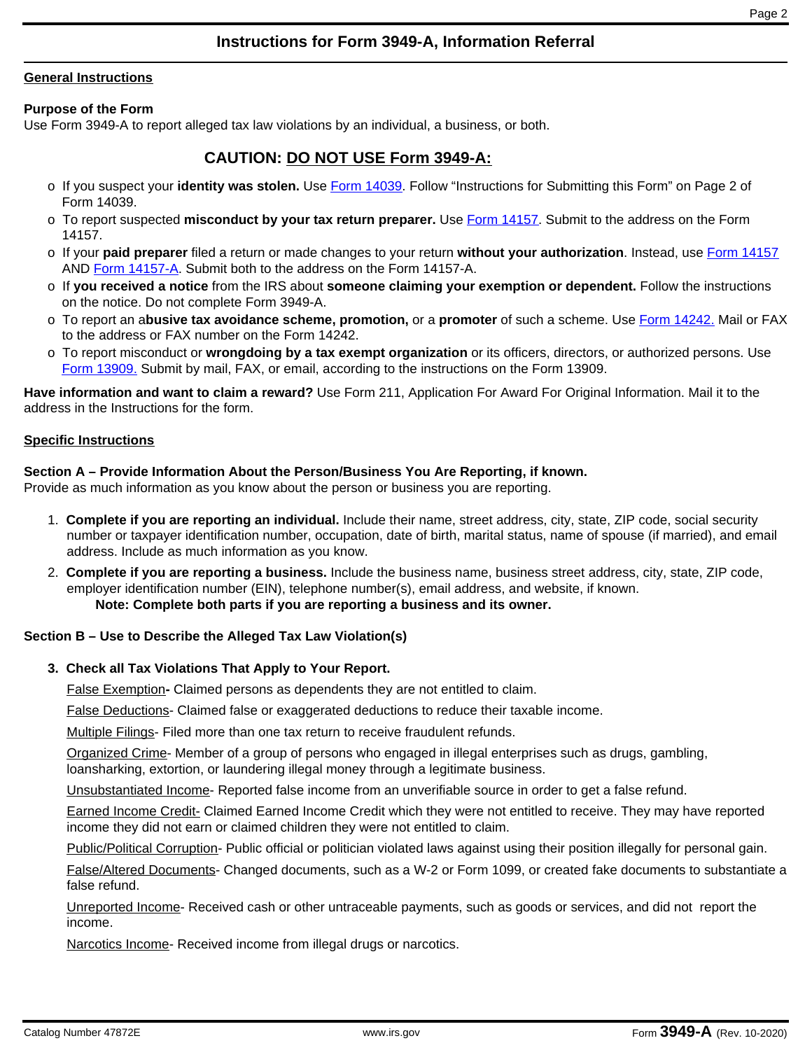# **Instructions for Form 3949-A, Information Referral**

### **General Instructions**

## **Purpose of the Form**

Use Form 3949-A to report alleged tax law violations by an individual, a business, or both.

# **CAUTION: DO NOT USE Form 3949-A:**

- o If you suspect your **identity was stolen.** Use [Form 14039](https://www.irs.gov/pub/irs-pdf/f14039.pdf). Follow "Instructions for Submitting this Form" on Page 2 of Form 14039.
- o To report suspected **misconduct by your tax return preparer.** Use [Form 14157](https://www.irs.gov/pub/irs-pdf/f14157.pdf). Submit to the address on the Form 14157.
- o If your **paid preparer** filed a return or made changes to your return **without your authorization**. Instead, use [Form 14157](https://www.irs.gov/pub/irs-pdf/f14157.pdf) AND [Form 14157-A.](https://www.irs.gov/pub/irs-pdf/f14157a.pdf) Submit both to the address on the Form 14157-A.
- o If **you received a notice** from the IRS about **someone claiming your exemption or dependent.** Follow the instructions on the notice. Do not complete Form 3949-A.
- o To report an a**busive tax avoidance scheme, promotion,** or a **promoter** of such a scheme. Use [Form 14242](https://www.irs.gov/pub/irs-pdf/f14242.pdf). Mail or FAX to the address or FAX number on the Form 14242.
- o To report misconduct or **wrongdoing by a tax exempt organization** or its officers, directors, or authorized persons. Use [Form 13909.](https://www.irs.gov/pub/irs-pdf/f13909.pdf) Submit by mail, FAX, or email, according to the instructions on the Form 13909.

**Have information and want to claim a reward?** Use Form 211, Application For Award For Original Information. Mail it to the address in the Instructions for the form.

## **Specific Instructions**

## **Section A – Provide Information About the Person/Business You Are Reporting, if known.**

Provide as much information as you know about the person or business you are reporting.

- 1. **Complete if you are reporting an individual.** Include their name, street address, city, state, ZIP code, social security number or taxpayer identification number, occupation, date of birth, marital status, name of spouse (if married), and email address. Include as much information as you know.
- 2. **Complete if you are reporting a business.** Include the business name, business street address, city, state, ZIP code, employer identification number (EIN), telephone number(s), email address, and website, if known. **Note: Complete both parts if you are reporting a business and its owner.**

## **Section B – Use to Describe the Alleged Tax Law Violation(s)**

## **3. Check all Tax Violations That Apply to Your Report.**

False Exemption**-** Claimed persons as dependents they are not entitled to claim.

False Deductions- Claimed false or exaggerated deductions to reduce their taxable income.

Multiple Filings- Filed more than one tax return to receive fraudulent refunds.

Organized Crime- Member of a group of persons who engaged in illegal enterprises such as drugs, gambling, loansharking, extortion, or laundering illegal money through a legitimate business.

Unsubstantiated Income- Reported false income from an unverifiable source in order to get a false refund.

Earned Income Credit- Claimed Earned Income Credit which they were not entitled to receive. They may have reported income they did not earn or claimed children they were not entitled to claim.

Public/Political Corruption- Public official or politician violated laws against using their position illegally for personal gain.

False/Altered Documents- Changed documents, such as a W-2 or Form 1099, or created fake documents to substantiate a false refund.

Unreported Income- Received cash or other untraceable payments, such as goods or services, and did not report the income.

Narcotics Income- Received income from illegal drugs or narcotics.